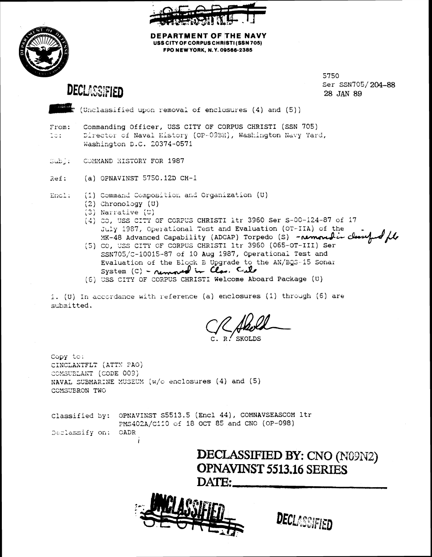



**DEPARTMENT OF THE NAVY** USS CITY OF CORPUS CHRISTI (SSN 705) FPO NEW YORK, N.Y. 09566-2385

**DECLASSIFIED** 

5750 Ser SSN705/204-88 28 JAN 89

.<br>I (Unclassified upon removal of enclosures (4) and (5))

- Commanding Officer, USS CITY OF CORPUS CHRISTI (SSN 705) From: Director of Naval History (OP-09BH), Washington Navy Yard, Do: Washington D.C. 20374-0571
- $\text{Sub}$  : COMMAND HISTORY FOR 1987
- (a) OPNAVINST  $5750.12D$  CH-1 Ref:

(1) Command Composition and Organization (U) Encl:

- $(2)$  Chronology  $(U)$
- (3) Narrative (U)
- (4) CO, USS CITY OF CORPUS CHRISTI 1tr 3960 Ser S-00-124-87 of 17 July 1987, Operational Test and Evaluation (OT-IIA) of the MK-48 Advanced Capability (ADCAP) Torpedo (S) - removed in cle
- (5) CO, USS CITY OF CORPUS CHRISTI 1tr 3960 (065-OT-III) Ser SSN705/C-10015-87 of 10 Aug 1987, Operational Test and Evaluation of the Block B Upgrade to the AN/BQS-15 Sonar System (C) - removed in Clas. Cale
- (6) USS CITY OF CORPUS CHRISTI Welcome Aboard Package (U)

1. (U) In accordance with reference (a) enclosures (1) through (6) are submitted.

skot.ns

Copy to: CINCLANTFLT (ATTN PAO) COMSUBLANT (CODE 009) NAVAL SUBMARINE MUSEUM  $(w/c)$  enclosures (4) and (5) COMSUBRON TWO

|                     | Classified by: OPNAVINST S5513.5 (Encl 44), COMNAVSEASCOM ltr |  |
|---------------------|---------------------------------------------------------------|--|
|                     | PMS402A/C110 of 18 OCT 85 and CNO (OP-098)                    |  |
| Declassify on: CADR |                                                               |  |

DECLASSIFIED BY: CNO (N09N2) **OPNAVINST 5513.16 SERIES** DATE:



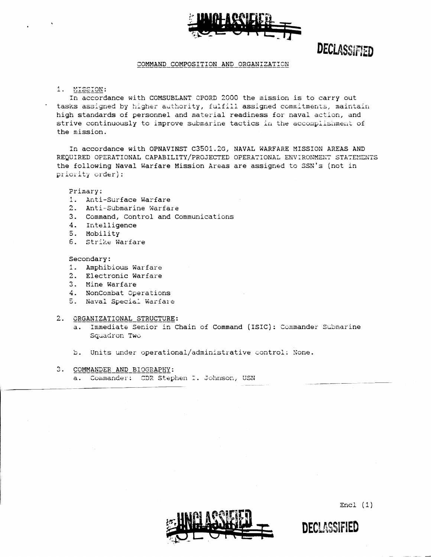

DECLASSIFIED

#### COMMAND COMPOSITION AND ORGANIZATION

1. MISSION:

In accordance with COMSUBLANT OPORD 2000 the mission is to carry out tasks assigned by higher authority, fulfill assigned commitments, maintain high standards of personnel and material readiness for naval action, and strive continuously to improve submarine tactics in the accomplishment of the mission.

In accordance with OPNAVINST C3501.2G, NAVAL WARFARE MISSION AREAS AND REQUIRED OPERATIONAL CAPABILITY/PROJECTED OPERATIONAL ENVIRONMENT STATEMENTS the following Naval Warfare Mission Areas are assigned to SSN's (not in priority order):

Primary:

- 1. Anti-Surface Warfare
- 2. Anti-Submarine Warfare
- 3. Command, Control and Communications
- 4. Intelligence
- 5. Mobility
- 6. Strike Warfare

Secondary:

- 1. Amphibious Warfare
- 2. Electronic Warfare
- 3. Mine Warfare
- 4. NonCombat Operations
- 5. Naval Special Warfare
- 2. ORGANIZATIONAL STRUCTURE:
	- a. Immediate Senior in Chain of Command (ISIC): Commander Submarine Squadron Two
	- b. Units under operational/administrative control: None.
- 3. COMMANDER AND BIOGRAPHY:

a. Commander: CDR Stephen I. Johnson, USN



 $Encl(1)$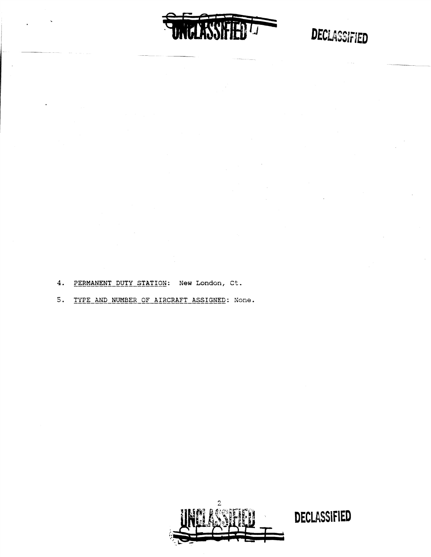UNGLASSIFIED<sup>1</sup>

# DECLASSIFIED

4. PERMANENT DUTY STATION: New London, Ct.

5. TYPE AND NUMBER OF AIRCRAFT ASSIGNED: None.

2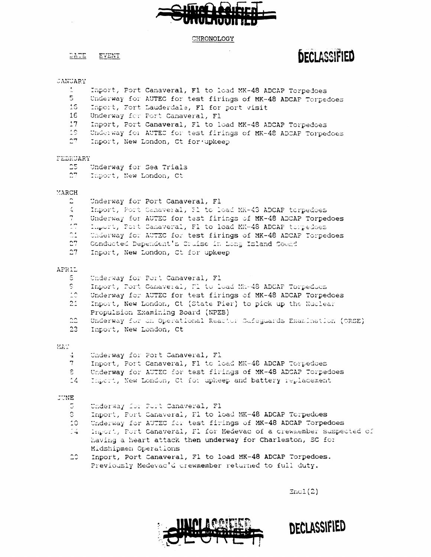#### CHRONOLOGY

DATE **EVENT** 

# JANUARY

- Inport, Port Canaveral, F1 to load MK-48 ADCAP Torpedoes
- $5 -$ Underway for AUTEC for test firings of MK-48 ADCAP Torpedoes
- $15<sub>1</sub>$ Inport, Fort Lauderdale, F1 for port visit
- 16 Underway for Port Canaveral, Fl
- $17<sub>1</sub>$ Inport, Port Canaveral, Fl to load MK-48 ADCAP Torpedoes
- 19. Underway for AUTEC for test firings of MK-48 ADCAP Torpedoes
- $27$ Inport, New London, Ct for upkeep

## FEBRUARY

- $25<sub>1</sub>$ Underway for Sea Trials
- $27$ Inport, New London, Ct

## MARCH

- $\mathbb C$ Underway for Port Canaveral, Fl
- Inport, Port Canaveral, Il to load MK-43 ADCAP torpedoes  $\leq$
- Underway for AUTEC for test firings of MK-48 ADCAP Torpedoes
- Inpurt, Port Canaveral, F1 to load MK-48 ADCAP torpedoes
- $\frac{24}{14}$ Underway for AUTEC for test firings of MK-48 ADCAP Torpedoes
- $27$ Conducted Dependent's Cruise in Long Island Sound
- $27<sub>1</sub>$ Inport, New London, Ct for upkeep

#### APRIL

- S. Underway for Port Canaveral, Fl
- Inport, Port Canaveral, M1 to load Mk-48 ADCAP Torpedocs 91
- $10<sup>2</sup>$ Underway for AUTEC for test firings of MK-48 ADCAP Torpedoes
- $21 -$ Inport, New London, Ct (State Pier) to pick up the Nuclear Propulsion Examining Board (NPEB)
- 22. Underway for an Operational Reactor Safeguards Examination (ORSE)
- $23 -$ Inport, New London, Ct

#### MAT

- Underway for Port Canaveral, Fl  $\div$
- 7 Inport, Port Canaveral, Fl to load MK-48 ADCAP Torpedoes
- $\epsilon$ Underway for AUTEC for test firings of MK-48 ADCAP Torpedoes
- $14$ Import, New London, Ct for upkeep and battery replacement

#### **JUNE**

- Underway for Port Canaveral, Fl G.
- $\mathbb{S}^+$ Inport, Port Canaveral, F1 to load MK-48 ADCAP Torpedoes
- 10. Underway for AUTEC for test firings of MK-48 ADCAP Torpedoes
- Inport, Fort Canaveral, F1 for Medevac of a crewmember suspected of ં મે having a heart attack then underway for Charleston, SC for Midshipmen Operations
- Inport, Port Canaveral, Fl to load MK-48 ADCAP Torpedoes. CO. Previously Medevac'd crewmember returned to full duty.

 $Enc1(2)$ 



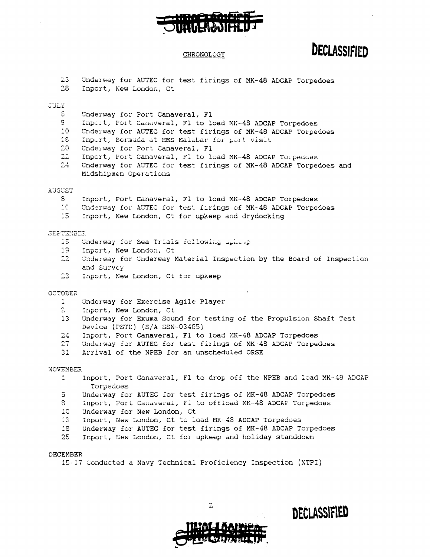# CHRONOLOGY

**COLOR** JUNIO EN MONTE

17

# DECLASSIFIED

 $\ddot{\phantom{1}}$ 

| 23 <sub>1</sub><br>28 | Underway for AUTEC for test firings of MK-48 ADCAP Torpedoes<br>Inport, New London, Ct             |
|-----------------------|----------------------------------------------------------------------------------------------------|
| <b>JULY</b>           |                                                                                                    |
| 5.                    | Underway for Port Canaveral, Fl                                                                    |
| 9.                    | Inport, Port Canaveral, Fl to load MK-48 ADCAP Torpedoes                                           |
| 10                    | Underway for AUTEC for test firings of MK-48 ADCAP Torpedoes                                       |
| 16                    | Inport, Bermuda at HMS Malabar for port visit                                                      |
| 20 <sub>1</sub>       | Underway for Port Canaveral, Fl                                                                    |
| $22^{\circ}$          | Inport, Port Canaveral, F1 to load MK-48 ADCAP Torpedoes                                           |
| 24 <sub>1</sub>       | Underway for AUTEC for test firings of MK-48 ADCAP Torpedoes and                                   |
|                       | Midshipmen Operations                                                                              |
| <b>AUGUST</b>         |                                                                                                    |
| 8.                    | Inport, Port Canaveral, F1 to load MK-48 ADCAP Torpedoes                                           |
| 2C                    | Underway for AUTEC for test firings of MK-48 ADCAP Torpedoes                                       |
| 15.                   | Inport, New London, Ct for upkeep and drydocking                                                   |
|                       |                                                                                                    |
| SEPTEMBER<br>15.      | Underway for Sea Trials following uphosp                                                           |
| 19 <sub>1</sub>       | Inport, New London, Ct                                                                             |
| 22 <sub>1</sub>       | Underway for Underway Material Inspection by the Board of Inspection                               |
|                       | and Survey                                                                                         |
| 23                    | Inport, New London, Ct for upkeep                                                                  |
|                       |                                                                                                    |
| <b>OCTOBER</b>        |                                                                                                    |
| $\mathbf{1}$          | Underway for Exercise Agile Player                                                                 |
| $\mathbf{2}$          | Inport, New London, Ct                                                                             |
| 13                    | Underway for Exuma Sound for testing of the Propulsion Shaft Test<br>Device (PSTD) (S/A SSN-03465) |
| 24                    | Inport, Port Canaveral, F1 to load MK-48 ADCAP Torpedoes                                           |
| 27 <sub>1</sub>       | Underway for AUTEC for test firings of MK-48 ADCAP Torpedoes                                       |
| 31 <sub>1</sub>       | Arrival of the NPEB for an unscheduled ORSE                                                        |
| <b>NOVEMBER</b>       |                                                                                                    |
| $\mathbb{1}$          | Inport, Port Canaveral, F1 to drop off the NPEB and load MK-48 ADCAP                               |
|                       | Torpedoes                                                                                          |
| 5.                    | Underway for AUTEC for test firings of MK-48 ADCAP Torpedoes                                       |
| 3                     | Inport, Port Canaveral, F1 to offload MK-48 ADCAP Torpedoes                                        |
| 10                    | Underway for New London, Ct                                                                        |
| 13.                   | Inport, New London, Ct to load MK-48 ADCAP Torpedoes                                               |
| 18                    | Underway for AUTEC for test firings of MK-48 ADCAP Torpedoes                                       |
| 25                    | Inport, New London, Ct for upkeep and holiday standdown                                            |
| DECEMBER              |                                                                                                    |
|                       | 15-17 Conducted a Navy Technical Proficiency Inspection (NTPI)                                     |
|                       |                                                                                                    |
|                       |                                                                                                    |
|                       |                                                                                                    |



DECLASSIFIED

 $\overline{2}$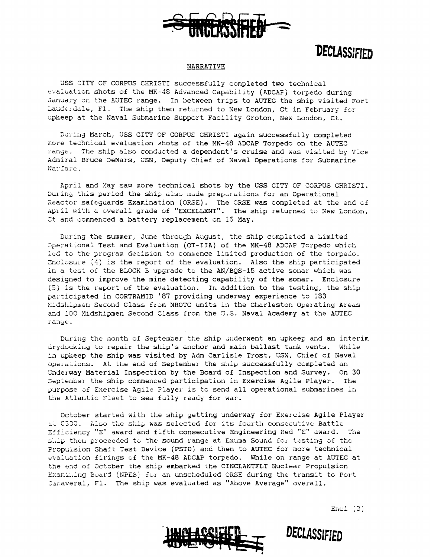

# **DECLASSIFIED**

### NARRATIVE

USS CITY OF CORPUS CHRISTI successfully completed two technical  $t$ valuation shots of the MK-48 Advanced Capability (ADCAF) torpedo during January on the AUTEC range. In between trips to AUTEC the ship visited Fort Lauderdale, F1. The ship then returned to New London, Ct in February for upkeep at the Naval Submarine Support Facility Groton, New London, Ct.

During March, USS CITY OF CORPUS CHRISTI again successfully completed more technical evaluation shots of the MK-48 ADCAP Torpedo on the AUTEC larise. The ship also conducted a dependent's cruise and was visited by Vice Admiral Bruce DeMars, USN, Deputy Chief of Naval Operations for Submarine Warfare.

April and May saw more technical shots by the USS CITY OF CORPUS CHRISTI. buring this period the ship also made preparations for an Operational Reactor safeguards Examination (ORSE). The CRSE was completed at the end of April with a overall grade of "EXCELLENT". The ship returned to New London, Ct and commenced a battery replacement on 15 May.

During the summer, June through August, the ship completed a Limited  $D$ perational Test and Evaluation (OT-IIA) of the MK-48 ADCAP Torpedo which led to the program decision to commence limited production of the torpedo. Enclosure  $(4)$  is the report of the evaluation. Also the ship participated in a test of the BLOCK E upgrade to the AN/BQS-15 active sonar which was designed to improve the mine detecting capability of the sonar. Enclosure  $(5)$  is the report of the evaluation. In addition to the testing, the ship participated in CORTRAMID '87 providing underway experience to 183 1:dshipmen Second Class from NROTC units in the Charleston Operating Areas and 100 Midshipmen Second Class from the U.S. Naval Academy at the AUTEC range.

During the month of September the ship underwent an upkeep and an interim drydocking to repair the ship's anchor and main ballast tank vents. While in upkeep the ship was visited by Adm Carlisle Trost, USN, Chief of Naval Operations. At the end of September the ship successfully completed an Underway Material Inspectian by the Board of Inspection and Survey. On 30 September the ship commenced participation in Exercise Agile Player. The Underway Material Inspection by the Board of Inspection and Survey. On 30<br>September the ship commenced participation in Exercise Agile Player. The<br>purpose of Exercise Agile Player is to send all operational submarines in<br>t

Cctober started with the ship getting underway for **Exercise Agile Player AL** C300. Also the ship was selected for its fourth consecutive Battle Efficiency "E" award and fifth consecutive Engineering Red "E" award. The ship then proceeded to the sound range at Exuma Sound for testing of the Propulsion Shaft Test Device (PSTD) and then to AUTEC for more technical evaluation firings of the MK-48 ADCAP torpedo. While on range at AUTEC at the end of 3ctober the ship embarked the CINCLANTFLT Nuclear Propulsion Examining Board (NPEB) for an unscheduled ORSE during the transit to Port Canaveral, Fl. The ship was evaluated as "Above Average" overall.